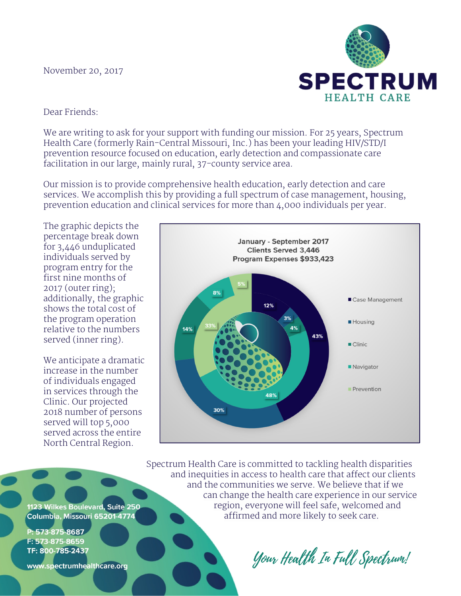## November 20, 2017



Dear Friends:

We are writing to ask for your support with funding our mission. For 25 years, Spectrum Health Care (formerly Rain-Central Missouri, Inc.) has been your leading HIV/STD/I prevention resource focused on education, early detection and compassionate care facilitation in our large, mainly rural, 37-county service area.

Our mission is to provide comprehensive health education, early detection and care services. We accomplish this by providing a full spectrum of case management, housing, prevention education and clinical services for more than 4,000 individuals per year.

The graphic depicts the percentage break down for 3,446 unduplicated individuals served by program entry for the first nine months of 2017 (outer ring); additionally, the graphic shows the total cost of the program operation relative to the numbers served (inner ring).

We anticipate a dramatic increase in the number of individuals engaged in services through the Clinic. Our projected 2018 number of persons served will top 5,000 served across the entire North Central Region.



Spectrum Health Care is committed to tackling health disparities and inequities in access to health care that affect our clients and the communities we serve. We believe that if we can change the health care experience in our service region, everyone will feel safe, welcomed and affirmed and more likely to seek care.

1123 Wilkes Boulevard, Suite 250 Columbia, Missouri 65201-4774

P: 573-875-8687 F: 573-875-8659 TF: 800-785-2437

www.spectrumhealthcare.org

Your Health In Full Spectrum!